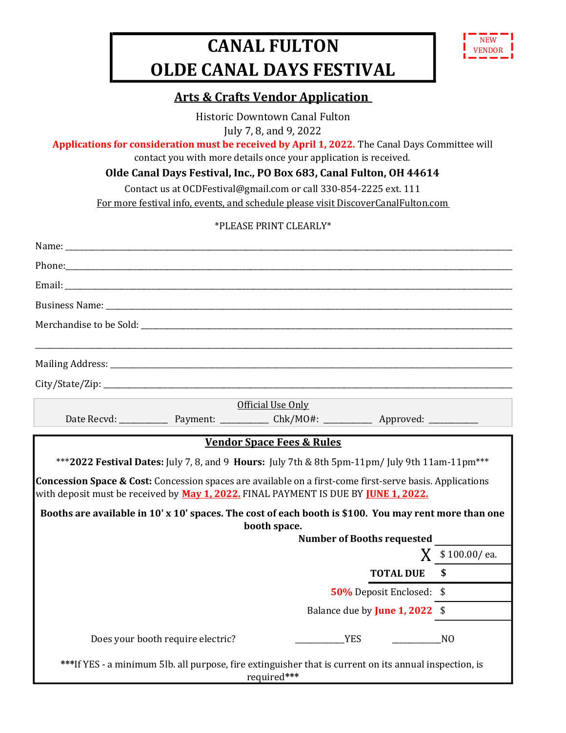## CANAL FULTON OLDE CANAL DAYS FESTIVAL



## Arts & Crafts Vendor Application

Historic Downtown Canal Fulton July 7, 8, and 9, 2022

Applications for consideration must be received by April 1, 2022. The Canal Days Committee will

contact you with more details once your application is received.

Olde Canal Days Festival, Inc., PO Box 683, Canal Fulton, OH 44614

Contact us at OCDFestival@gmail.com or call 330-854-2225 ext. 111

For more festival info, events, and schedule please visit DiscoverCanalFulton.com

## \*PLEASE PRINT CLEARLY\*

|                                                                                                                                                                                                                                                                                                                 | Official Use Only                 |                          |                  |
|-----------------------------------------------------------------------------------------------------------------------------------------------------------------------------------------------------------------------------------------------------------------------------------------------------------------|-----------------------------------|--------------------------|------------------|
|                                                                                                                                                                                                                                                                                                                 |                                   |                          |                  |
| Concession Space & Cost: Concession spaces are available on a first-come first-serve basis. Applications<br>with deposit must be received by May 1, 2022. FINAL PAYMENT IS DUE BY <u>IUNE 1, 2022.</u><br>Booths are available in 10' x 10' spaces. The cost of each booth is \$100. You may rent more than one |                                   |                          |                  |
| booth space.                                                                                                                                                                                                                                                                                                    | <b>Number of Booths requested</b> |                          |                  |
|                                                                                                                                                                                                                                                                                                                 |                                   |                          | $X$ \$100.00/ea. |
|                                                                                                                                                                                                                                                                                                                 |                                   | <b>TOTAL DUE</b>         |                  |
|                                                                                                                                                                                                                                                                                                                 |                                   | 50% Deposit Enclosed: \$ |                  |
|                                                                                                                                                                                                                                                                                                                 | Balance due by June 1, 2022 \$    |                          |                  |
| Does your booth require electric?                                                                                                                                                                                                                                                                               | <b>YES</b>                        |                          | N <sub>O</sub>   |
| ***If YES - a minimum 5lb. all purpose, fire extinguisher that is current on its annual inspection, is<br>required***                                                                                                                                                                                           |                                   |                          |                  |